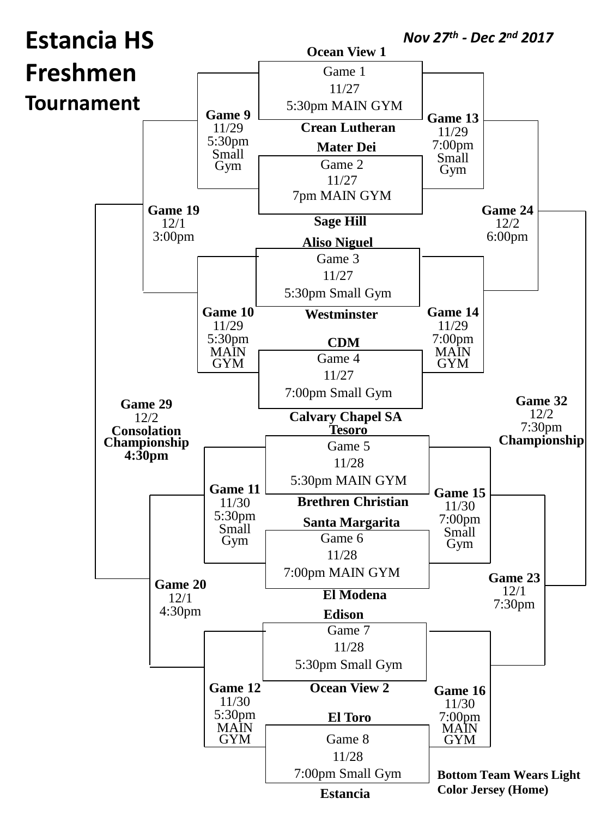